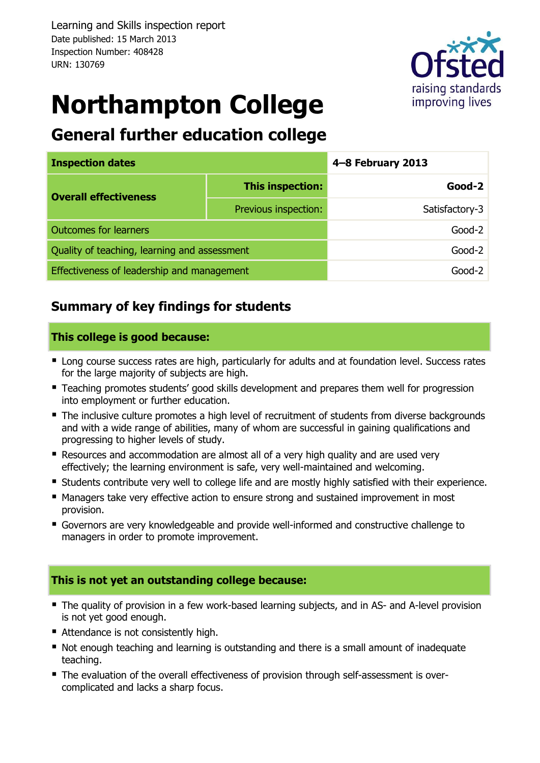Learning and Skills inspection report Date published: 15 March 2013 Inspection Number: 408428 URN: 130769



# **Northampton College**

### **General further education college**

| <b>Inspection dates</b>                      |                      | 4-8 February 2013 |  |  |
|----------------------------------------------|----------------------|-------------------|--|--|
| <b>Overall effectiveness</b>                 | This inspection:     | $Good-2$          |  |  |
|                                              | Previous inspection: | Satisfactory-3    |  |  |
| <b>Outcomes for learners</b>                 |                      | $Good-2$          |  |  |
| Quality of teaching, learning and assessment |                      | $Good-2$          |  |  |
| Effectiveness of leadership and management   |                      | Good-2            |  |  |

#### **Summary of key findings for students**

#### **This college is good because:**

- **EXTERCH Long course success rates are high, particularly for adults and at foundation level. Success rates** for the large majority of subjects are high.
- **Teaching promotes students' good skills development and prepares them well for progression** into employment or further education.
- The inclusive culture promotes a high level of recruitment of students from diverse backgrounds and with a wide range of abilities, many of whom are successful in gaining qualifications and progressing to higher levels of study.
- Resources and accommodation are almost all of a very high quality and are used very effectively; the learning environment is safe, very well-maintained and welcoming.
- Students contribute very well to college life and are mostly highly satisfied with their experience.
- **Managers take very effective action to ensure strong and sustained improvement in most** provision.
- Governors are very knowledgeable and provide well-informed and constructive challenge to managers in order to promote improvement.

#### **This is not yet an outstanding college because:**

- The quality of provision in a few work-based learning subjects, and in AS- and A-level provision is not yet good enough.
- Attendance is not consistently high.
- Not enough teaching and learning is outstanding and there is a small amount of inadequate teaching.
- The evaluation of the overall effectiveness of provision through self-assessment is overcomplicated and lacks a sharp focus.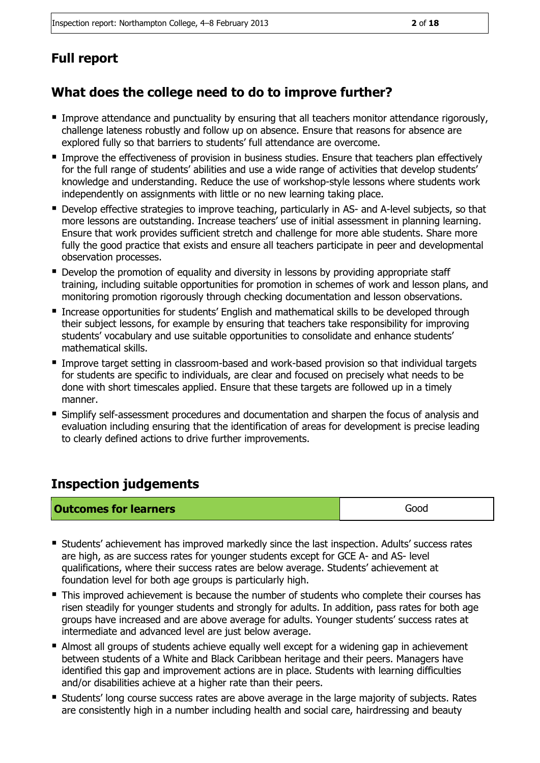### **Full report**

### **What does the college need to do to improve further?**

- **Improve attendance and punctuality by ensuring that all teachers monitor attendance rigorously,** challenge lateness robustly and follow up on absence. Ensure that reasons for absence are explored fully so that barriers to students' full attendance are overcome.
- **Improve the effectiveness of provision in business studies. Ensure that teachers plan effectively** for the full range of students' abilities and use a wide range of activities that develop students' knowledge and understanding. Reduce the use of workshop-style lessons where students work independently on assignments with little or no new learning taking place.
- **Develop effective strategies to improve teaching, particularly in AS- and A-level subjects, so that** more lessons are outstanding. Increase teachers' use of initial assessment in planning learning. Ensure that work provides sufficient stretch and challenge for more able students. Share more fully the good practice that exists and ensure all teachers participate in peer and developmental observation processes.
- Develop the promotion of equality and diversity in lessons by providing appropriate staff training, including suitable opportunities for promotion in schemes of work and lesson plans, and monitoring promotion rigorously through checking documentation and lesson observations.
- **Increase opportunities for students' English and mathematical skills to be developed through** their subject lessons, for example by ensuring that teachers take responsibility for improving students' vocabulary and use suitable opportunities to consolidate and enhance students' mathematical skills.
- Improve target setting in classroom-based and work-based provision so that individual targets for students are specific to individuals, are clear and focused on precisely what needs to be done with short timescales applied. Ensure that these targets are followed up in a timely manner.
- Simplify self-assessment procedures and documentation and sharpen the focus of analysis and evaluation including ensuring that the identification of areas for development is precise leading to clearly defined actions to drive further improvements.

### **Inspection judgements**

| <b>Outcomes for learners</b> | Good |
|------------------------------|------|
|------------------------------|------|

- Students' achievement has improved markedly since the last inspection. Adults' success rates are high, as are success rates for younger students except for GCE A- and AS- level qualifications, where their success rates are below average. Students' achievement at foundation level for both age groups is particularly high.
- **This improved achievement is because the number of students who complete their courses has** risen steadily for younger students and strongly for adults. In addition, pass rates for both age groups have increased and are above average for adults. Younger students' success rates at intermediate and advanced level are just below average.
- Almost all groups of students achieve equally well except for a widening gap in achievement between students of a White and Black Caribbean heritage and their peers. Managers have identified this gap and improvement actions are in place. Students with learning difficulties and/or disabilities achieve at a higher rate than their peers.
- **Students' long course success rates are above average in the large majority of subjects. Rates** are consistently high in a number including health and social care, hairdressing and beauty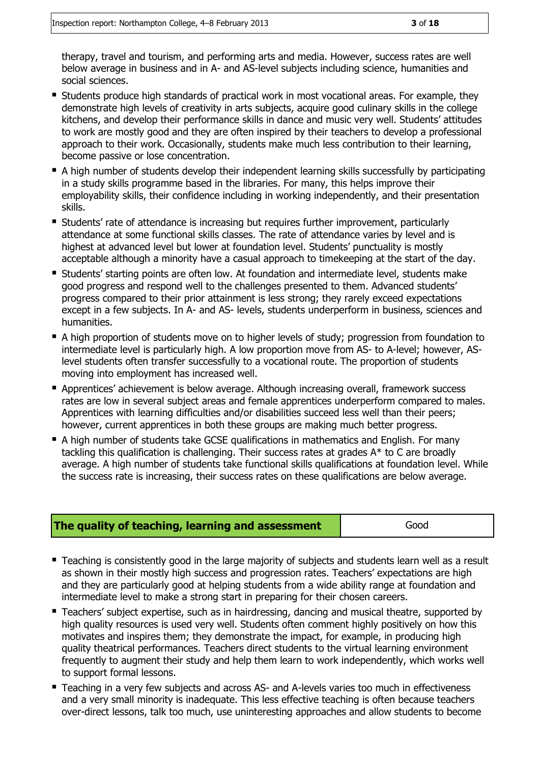therapy, travel and tourism, and performing arts and media. However, success rates are well below average in business and in A- and AS-level subjects including science, humanities and social sciences.

- **Students produce high standards of practical work in most vocational areas. For example, they** demonstrate high levels of creativity in arts subjects, acquire good culinary skills in the college kitchens, and develop their performance skills in dance and music very well. Students' attitudes to work are mostly good and they are often inspired by their teachers to develop a professional approach to their work. Occasionally, students make much less contribution to their learning, become passive or lose concentration.
- A high number of students develop their independent learning skills successfully by participating in a study skills programme based in the libraries. For many, this helps improve their employability skills, their confidence including in working independently, and their presentation skills.
- **Students' rate of attendance is increasing but requires further improvement, particularly** attendance at some functional skills classes. The rate of attendance varies by level and is highest at advanced level but lower at foundation level. Students' punctuality is mostly acceptable although a minority have a casual approach to timekeeping at the start of the day.
- Students' starting points are often low. At foundation and intermediate level, students make good progress and respond well to the challenges presented to them. Advanced students' progress compared to their prior attainment is less strong; they rarely exceed expectations except in a few subjects. In A- and AS- levels, students underperform in business, sciences and humanities.
- A high proportion of students move on to higher levels of study; progression from foundation to intermediate level is particularly high. A low proportion move from AS- to A-level; however, ASlevel students often transfer successfully to a vocational route. The proportion of students moving into employment has increased well.
- Apprentices' achievement is below average. Although increasing overall, framework success rates are low in several subject areas and female apprentices underperform compared to males. Apprentices with learning difficulties and/or disabilities succeed less well than their peers; however, current apprentices in both these groups are making much better progress.
- A high number of students take GCSE qualifications in mathematics and English. For many tackling this qualification is challenging. Their success rates at grades A\* to C are broadly average. A high number of students take functional skills qualifications at foundation level. While the success rate is increasing, their success rates on these qualifications are below average.

| The quality of teaching, learning and assessment | Good |
|--------------------------------------------------|------|
|--------------------------------------------------|------|

- **Teaching is consistently good in the large majority of subjects and students learn well as a result** as shown in their mostly high success and progression rates. Teachers' expectations are high and they are particularly good at helping students from a wide ability range at foundation and intermediate level to make a strong start in preparing for their chosen careers.
- Teachers' subject expertise, such as in hairdressing, dancing and musical theatre, supported by high quality resources is used very well. Students often comment highly positively on how this motivates and inspires them; they demonstrate the impact, for example, in producing high quality theatrical performances. Teachers direct students to the virtual learning environment frequently to augment their study and help them learn to work independently, which works well to support formal lessons.
- **Teaching in a very few subjects and across AS- and A-levels varies too much in effectiveness** and a very small minority is inadequate. This less effective teaching is often because teachers over-direct lessons, talk too much, use uninteresting approaches and allow students to become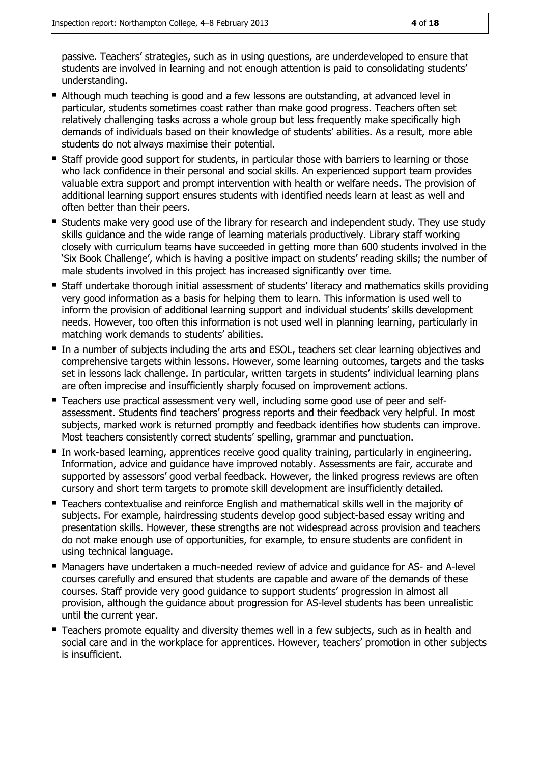passive. Teachers' strategies, such as in using questions, are underdeveloped to ensure that students are involved in learning and not enough attention is paid to consolidating students' understanding.

- Although much teaching is good and a few lessons are outstanding, at advanced level in particular, students sometimes coast rather than make good progress. Teachers often set relatively challenging tasks across a whole group but less frequently make specifically high demands of individuals based on their knowledge of students' abilities. As a result, more able students do not always maximise their potential.
- **Staff provide good support for students, in particular those with barriers to learning or those** who lack confidence in their personal and social skills. An experienced support team provides valuable extra support and prompt intervention with health or welfare needs. The provision of additional learning support ensures students with identified needs learn at least as well and often better than their peers.
- **Students make very good use of the library for research and independent study. They use study** skills guidance and the wide range of learning materials productively. Library staff working closely with curriculum teams have succeeded in getting more than 600 students involved in the 'Six Book Challenge', which is having a positive impact on students' reading skills; the number of male students involved in this project has increased significantly over time.
- **Staff undertake thorough initial assessment of students' literacy and mathematics skills providing** very good information as a basis for helping them to learn. This information is used well to inform the provision of additional learning support and individual students' skills development needs. However, too often this information is not used well in planning learning, particularly in matching work demands to students' abilities.
- In a number of subjects including the arts and ESOL, teachers set clear learning objectives and comprehensive targets within lessons. However, some learning outcomes, targets and the tasks set in lessons lack challenge. In particular, written targets in students' individual learning plans are often imprecise and insufficiently sharply focused on improvement actions.
- **Teachers use practical assessment very well, including some good use of peer and self**assessment. Students find teachers' progress reports and their feedback very helpful. In most subjects, marked work is returned promptly and feedback identifies how students can improve. Most teachers consistently correct students' spelling, grammar and punctuation.
- In work-based learning, apprentices receive good quality training, particularly in engineering. Information, advice and guidance have improved notably. Assessments are fair, accurate and supported by assessors' good verbal feedback. However, the linked progress reviews are often cursory and short term targets to promote skill development are insufficiently detailed.
- Teachers contextualise and reinforce English and mathematical skills well in the majority of subjects. For example, hairdressing students develop good subject-based essay writing and presentation skills. However, these strengths are not widespread across provision and teachers do not make enough use of opportunities, for example, to ensure students are confident in using technical language.
- Managers have undertaken a much-needed review of advice and guidance for AS- and A-level courses carefully and ensured that students are capable and aware of the demands of these courses. Staff provide very good guidance to support students' progression in almost all provision, although the guidance about progression for AS-level students has been unrealistic until the current year.
- **Teachers promote equality and diversity themes well in a few subjects, such as in health and** social care and in the workplace for apprentices. However, teachers' promotion in other subjects is insufficient.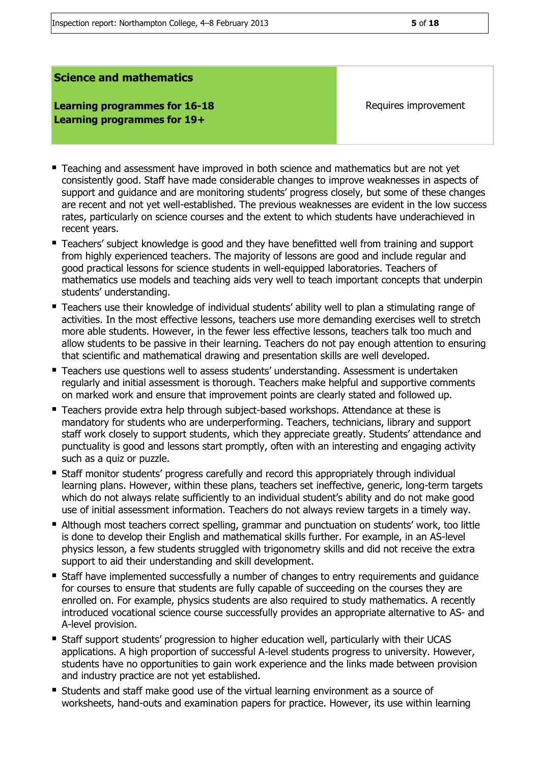#### **Learning programmes for 16-18 Learning programmes for 19+**

Requires improvement

- Teaching and assessment have improved in both science and mathematics but are not yet consistently good. Staff have made considerable changes to improve weaknesses in aspects of support and guidance and are monitoring students' progress closely, but some of these changes are recent and not yet well-established. The previous weaknesses are evident in the low success rates, particularly on science courses and the extent to which students have underachieved in recent years.
- Teachers' subject knowledge is good and they have benefitted well from training and support from highly experienced teachers. The majority of lessons are good and include regular and good practical lessons for science students in well-equipped laboratories. Teachers of mathematics use models and teaching aids very well to teach important concepts that underpin students' understanding.
- Teachers use their knowledge of individual students' ability well to plan a stimulating range of activities. In the most effective lessons, teachers use more demanding exercises well to stretch more able students. However, in the fewer less effective lessons, teachers talk too much and allow students to be passive in their learning. Teachers do not pay enough attention to ensuring that scientific and mathematical drawing and presentation skills are well developed.
- Teachers use questions well to assess students' understanding. Assessment is undertaken regularly and initial assessment is thorough. Teachers make helpful and supportive comments on marked work and ensure that improvement points are clearly stated and followed up.
- Teachers provide extra help through subject-based workshops. Attendance at these is mandatory for students who are underperforming. Teachers, technicians, library and support staff work closely to support students, which they appreciate greatly. Students' attendance and punctuality is good and lessons start promptly, often with an interesting and engaging activity such as a quiz or puzzle.
- Staff monitor students' progress carefully and record this appropriately through individual learning plans. However, within these plans, teachers set ineffective, generic, long-term targets which do not always relate sufficiently to an individual student's ability and do not make good use of initial assessment information. Teachers do not always review targets in a timely way.
- Although most teachers correct spelling, grammar and punctuation on students' work, too little is done to develop their English and mathematical skills further. For example, in an AS-level physics lesson, a few students struggled with trigonometry skills and did not receive the extra support to aid their understanding and skill development.
- **Staff have implemented successfully a number of changes to entry requirements and guidance** for courses to ensure that students are fully capable of succeeding on the courses they are enrolled on. For example, physics students are also required to study mathematics. A recently introduced vocational science course successfully provides an appropriate alternative to AS- and A-level provision.
- Staff support students' progression to higher education well, particularly with their UCAS applications. A high proportion of successful A-level students progress to university. However, students have no opportunities to gain work experience and the links made between provision and industry practice are not yet established.
- Students and staff make good use of the virtual learning environment as a source of worksheets, hand-outs and examination papers for practice. However, its use within learning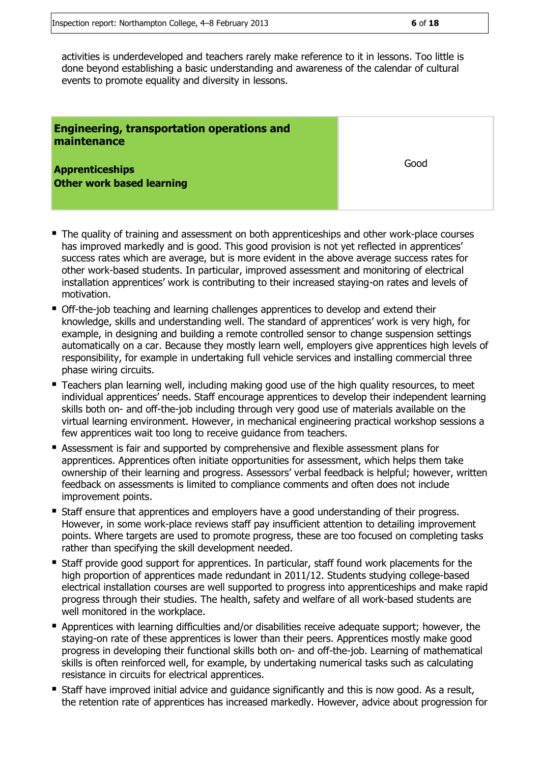activities is underdeveloped and teachers rarely make reference to it in lessons. Too little is done beyond establishing a basic understanding and awareness of the calendar of cultural events to promote equality and diversity in lessons.

| <b>Engineering, transportation operations and</b><br>maintenance |      |
|------------------------------------------------------------------|------|
| <b>Apprenticeships</b><br><b>Other work based learning</b>       | Good |

- The quality of training and assessment on both apprenticeships and other work-place courses has improved markedly and is good. This good provision is not yet reflected in apprentices' success rates which are average, but is more evident in the above average success rates for other work-based students. In particular, improved assessment and monitoring of electrical installation apprentices' work is contributing to their increased staying-on rates and levels of motivation.
- Off-the-job teaching and learning challenges apprentices to develop and extend their knowledge, skills and understanding well. The standard of apprentices' work is very high, for example, in designing and building a remote controlled sensor to change suspension settings automatically on a car. Because they mostly learn well, employers give apprentices high levels of responsibility, for example in undertaking full vehicle services and installing commercial three phase wiring circuits.
- **Teachers plan learning well, including making good use of the high quality resources, to meet** individual apprentices' needs. Staff encourage apprentices to develop their independent learning skills both on- and off-the-job including through very good use of materials available on the virtual learning environment. However, in mechanical engineering practical workshop sessions a few apprentices wait too long to receive guidance from teachers.
- Assessment is fair and supported by comprehensive and flexible assessment plans for apprentices. Apprentices often initiate opportunities for assessment, which helps them take ownership of their learning and progress. Assessors' verbal feedback is helpful; however, written feedback on assessments is limited to compliance comments and often does not include improvement points.
- **Staff ensure that apprentices and employers have a good understanding of their progress.** However, in some work-place reviews staff pay insufficient attention to detailing improvement points. Where targets are used to promote progress, these are too focused on completing tasks rather than specifying the skill development needed.
- Staff provide good support for apprentices. In particular, staff found work placements for the high proportion of apprentices made redundant in 2011/12. Students studying college-based electrical installation courses are well supported to progress into apprenticeships and make rapid progress through their studies. The health, safety and welfare of all work-based students are well monitored in the workplace.
- Apprentices with learning difficulties and/or disabilities receive adequate support; however, the staying-on rate of these apprentices is lower than their peers. Apprentices mostly make good progress in developing their functional skills both on- and off-the-job. Learning of mathematical skills is often reinforced well, for example, by undertaking numerical tasks such as calculating resistance in circuits for electrical apprentices.
- **Staff have improved initial advice and quidance significantly and this is now good. As a result,** the retention rate of apprentices has increased markedly. However, advice about progression for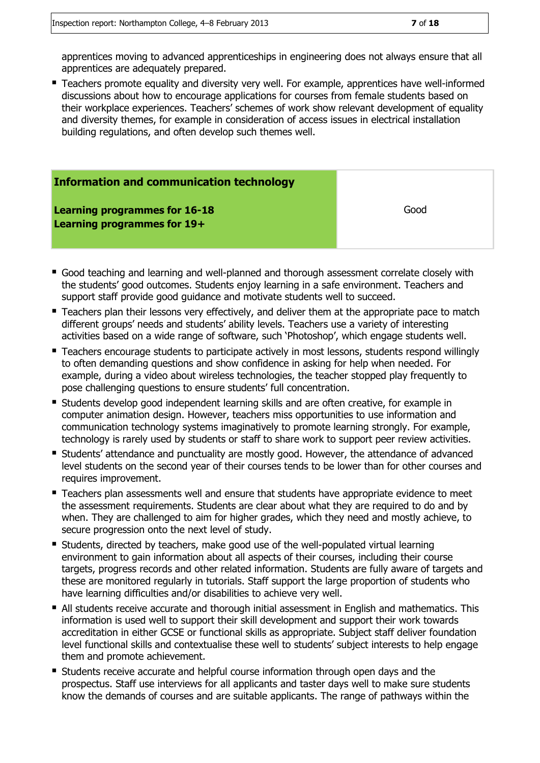apprentices moving to advanced apprenticeships in engineering does not always ensure that all apprentices are adequately prepared.

**Teachers promote equality and diversity very well. For example, apprentices have well-informed** discussions about how to encourage applications for courses from female students based on their workplace experiences. Teachers' schemes of work show relevant development of equality and diversity themes, for example in consideration of access issues in electrical installation building regulations, and often develop such themes well.

| <b>Information and communication technology</b>                     |      |
|---------------------------------------------------------------------|------|
| <b>Learning programmes for 16-18</b><br>Learning programmes for 19+ | Good |

- Good teaching and learning and well-planned and thorough assessment correlate closely with the students' good outcomes. Students enjoy learning in a safe environment. Teachers and support staff provide good guidance and motivate students well to succeed.
- **Teachers plan their lessons very effectively, and deliver them at the appropriate pace to match** different groups' needs and students' ability levels. Teachers use a variety of interesting activities based on a wide range of software, such 'Photoshop', which engage students well.
- **Teachers encourage students to participate actively in most lessons, students respond willingly** to often demanding questions and show confidence in asking for help when needed. For example, during a video about wireless technologies, the teacher stopped play frequently to pose challenging questions to ensure students' full concentration.
- Students develop good independent learning skills and are often creative, for example in computer animation design. However, teachers miss opportunities to use information and communication technology systems imaginatively to promote learning strongly. For example, technology is rarely used by students or staff to share work to support peer review activities.
- Students' attendance and punctuality are mostly good. However, the attendance of advanced level students on the second year of their courses tends to be lower than for other courses and requires improvement.
- Teachers plan assessments well and ensure that students have appropriate evidence to meet the assessment requirements. Students are clear about what they are required to do and by when. They are challenged to aim for higher grades, which they need and mostly achieve, to secure progression onto the next level of study.
- Students, directed by teachers, make good use of the well-populated virtual learning environment to gain information about all aspects of their courses, including their course targets, progress records and other related information. Students are fully aware of targets and these are monitored regularly in tutorials. Staff support the large proportion of students who have learning difficulties and/or disabilities to achieve very well.
- All students receive accurate and thorough initial assessment in English and mathematics. This information is used well to support their skill development and support their work towards accreditation in either GCSE or functional skills as appropriate. Subject staff deliver foundation level functional skills and contextualise these well to students' subject interests to help engage them and promote achievement.
- Students receive accurate and helpful course information through open days and the prospectus. Staff use interviews for all applicants and taster days well to make sure students know the demands of courses and are suitable applicants. The range of pathways within the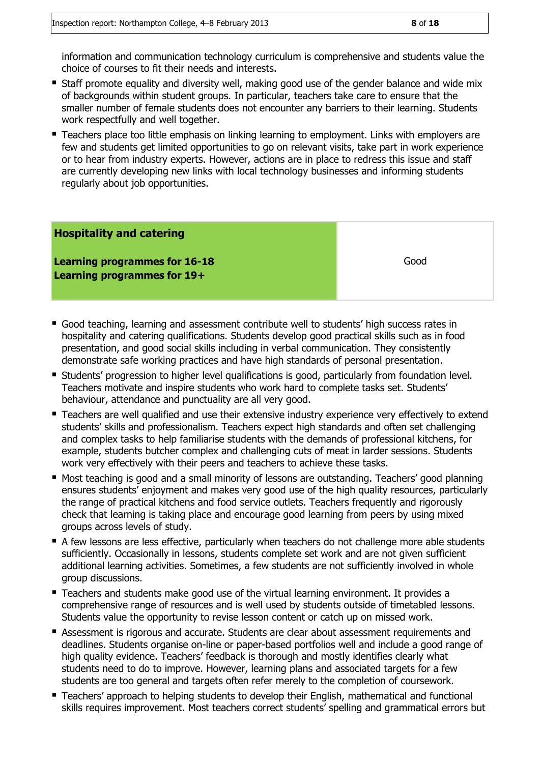information and communication technology curriculum is comprehensive and students value the choice of courses to fit their needs and interests.

- **Staff promote equality and diversity well, making good use of the gender balance and wide mix** of backgrounds within student groups. In particular, teachers take care to ensure that the smaller number of female students does not encounter any barriers to their learning. Students work respectfully and well together.
- **Teachers place too little emphasis on linking learning to employment. Links with employers are** few and students get limited opportunities to go on relevant visits, take part in work experience or to hear from industry experts. However, actions are in place to redress this issue and staff are currently developing new links with local technology businesses and informing students regularly about job opportunities.

### **Hospitality and catering Learning programmes for 16-18 Learning programmes for 19+** Good

- Good teaching, learning and assessment contribute well to students' high success rates in hospitality and catering qualifications. Students develop good practical skills such as in food presentation, and good social skills including in verbal communication. They consistently demonstrate safe working practices and have high standards of personal presentation.
- Students' progression to higher level qualifications is good, particularly from foundation level. Teachers motivate and inspire students who work hard to complete tasks set. Students' behaviour, attendance and punctuality are all very good.
- Teachers are well qualified and use their extensive industry experience very effectively to extend students' skills and professionalism. Teachers expect high standards and often set challenging and complex tasks to help familiarise students with the demands of professional kitchens, for example, students butcher complex and challenging cuts of meat in larder sessions. Students work very effectively with their peers and teachers to achieve these tasks.
- Most teaching is good and a small minority of lessons are outstanding. Teachers' good planning ensures students' enjoyment and makes very good use of the high quality resources, particularly the range of practical kitchens and food service outlets. Teachers frequently and rigorously check that learning is taking place and encourage good learning from peers by using mixed groups across levels of study.
- A few lessons are less effective, particularly when teachers do not challenge more able students sufficiently. Occasionally in lessons, students complete set work and are not given sufficient additional learning activities. Sometimes, a few students are not sufficiently involved in whole group discussions.
- Teachers and students make good use of the virtual learning environment. It provides a comprehensive range of resources and is well used by students outside of timetabled lessons. Students value the opportunity to revise lesson content or catch up on missed work.
- Assessment is rigorous and accurate. Students are clear about assessment requirements and deadlines. Students organise on-line or paper-based portfolios well and include a good range of high quality evidence. Teachers' feedback is thorough and mostly identifies clearly what students need to do to improve. However, learning plans and associated targets for a few students are too general and targets often refer merely to the completion of coursework.
- Teachers' approach to helping students to develop their English, mathematical and functional skills requires improvement. Most teachers correct students' spelling and grammatical errors but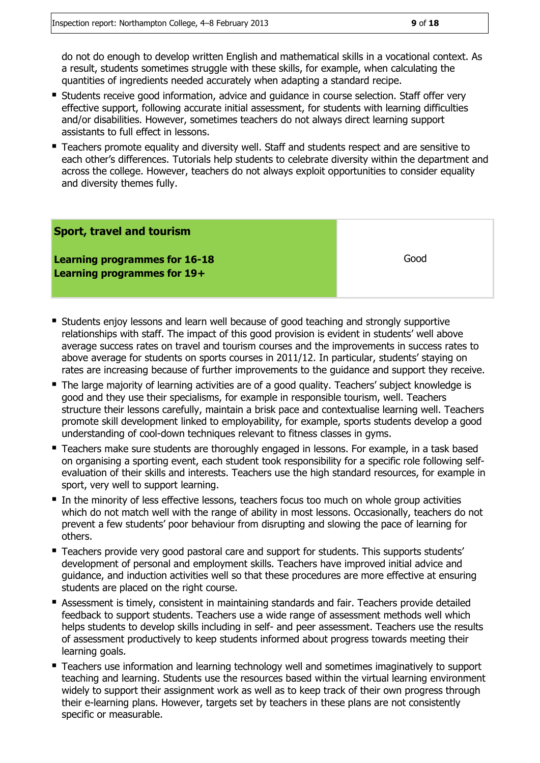do not do enough to develop written English and mathematical skills in a vocational context. As a result, students sometimes struggle with these skills, for example, when calculating the quantities of ingredients needed accurately when adapting a standard recipe.

- **Students receive good information, advice and guidance in course selection. Staff offer very** effective support, following accurate initial assessment, for students with learning difficulties and/or disabilities. However, sometimes teachers do not always direct learning support assistants to full effect in lessons.
- Teachers promote equality and diversity well. Staff and students respect and are sensitive to each other's differences. Tutorials help students to celebrate diversity within the department and across the college. However, teachers do not always exploit opportunities to consider equality and diversity themes fully.

#### **Sport, travel and tourism**

**Learning programmes for 16-18 Learning programmes for 19+**

Good

- **Students enjoy lessons and learn well because of good teaching and strongly supportive** relationships with staff. The impact of this good provision is evident in students' well above average success rates on travel and tourism courses and the improvements in success rates to above average for students on sports courses in 2011/12. In particular, students' staying on rates are increasing because of further improvements to the guidance and support they receive.
- The large majority of learning activities are of a good quality. Teachers' subject knowledge is good and they use their specialisms, for example in responsible tourism, well. Teachers structure their lessons carefully, maintain a brisk pace and contextualise learning well. Teachers promote skill development linked to employability, for example, sports students develop a good understanding of cool-down techniques relevant to fitness classes in gyms.
- Teachers make sure students are thoroughly engaged in lessons. For example, in a task based on organising a sporting event, each student took responsibility for a specific role following selfevaluation of their skills and interests. Teachers use the high standard resources, for example in sport, very well to support learning.
- In the minority of less effective lessons, teachers focus too much on whole group activities which do not match well with the range of ability in most lessons. Occasionally, teachers do not prevent a few students' poor behaviour from disrupting and slowing the pace of learning for others.
- Teachers provide very good pastoral care and support for students. This supports students' development of personal and employment skills. Teachers have improved initial advice and guidance, and induction activities well so that these procedures are more effective at ensuring students are placed on the right course.
- Assessment is timely, consistent in maintaining standards and fair. Teachers provide detailed feedback to support students. Teachers use a wide range of assessment methods well which helps students to develop skills including in self- and peer assessment. Teachers use the results of assessment productively to keep students informed about progress towards meeting their learning goals.
- **Teachers use information and learning technology well and sometimes imaginatively to support** teaching and learning. Students use the resources based within the virtual learning environment widely to support their assignment work as well as to keep track of their own progress through their e-learning plans. However, targets set by teachers in these plans are not consistently specific or measurable.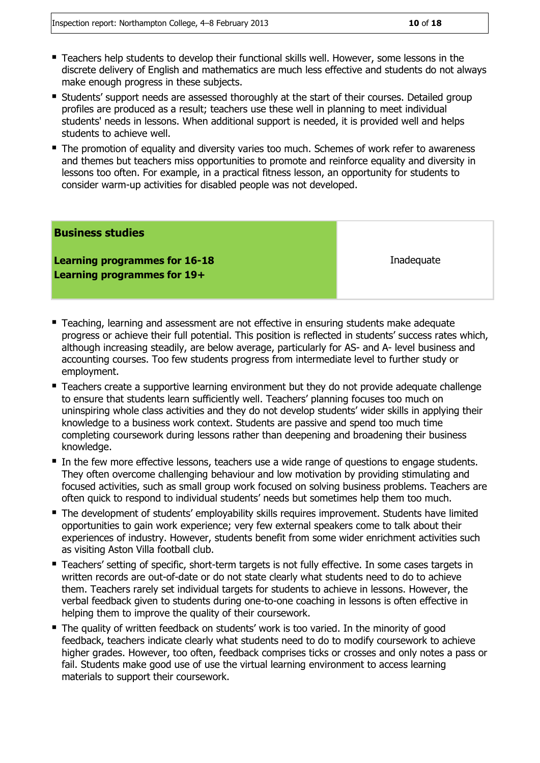- Teachers help students to develop their functional skills well. However, some lessons in the discrete delivery of English and mathematics are much less effective and students do not always make enough progress in these subjects.
- **Students'** support needs are assessed thoroughly at the start of their courses. Detailed group profiles are produced as a result; teachers use these well in planning to meet individual students' needs in lessons. When additional support is needed, it is provided well and helps students to achieve well.
- The promotion of equality and diversity varies too much. Schemes of work refer to awareness and themes but teachers miss opportunities to promote and reinforce equality and diversity in lessons too often. For example, in a practical fitness lesson, an opportunity for students to consider warm-up activities for disabled people was not developed.

#### **Business studies**

**Learning programmes for 16-18 Learning programmes for 19+**

**Inadequate** 

- Teaching, learning and assessment are not effective in ensuring students make adequate progress or achieve their full potential. This position is reflected in students' success rates which, although increasing steadily, are below average, particularly for AS- and A- level business and accounting courses. Too few students progress from intermediate level to further study or employment.
- Teachers create a supportive learning environment but they do not provide adequate challenge to ensure that students learn sufficiently well. Teachers' planning focuses too much on uninspiring whole class activities and they do not develop students' wider skills in applying their knowledge to a business work context. Students are passive and spend too much time completing coursework during lessons rather than deepening and broadening their business knowledge.
- In the few more effective lessons, teachers use a wide range of questions to engage students. They often overcome challenging behaviour and low motivation by providing stimulating and focused activities, such as small group work focused on solving business problems. Teachers are often quick to respond to individual students' needs but sometimes help them too much.
- The development of students' employability skills requires improvement. Students have limited opportunities to gain work experience; very few external speakers come to talk about their experiences of industry. However, students benefit from some wider enrichment activities such as visiting Aston Villa football club.
- **Teachers' setting of specific, short-term targets is not fully effective. In some cases targets in** written records are out-of-date or do not state clearly what students need to do to achieve them. Teachers rarely set individual targets for students to achieve in lessons. However, the verbal feedback given to students during one-to-one coaching in lessons is often effective in helping them to improve the quality of their coursework.
- The quality of written feedback on students' work is too varied. In the minority of good feedback, teachers indicate clearly what students need to do to modify coursework to achieve higher grades. However, too often, feedback comprises ticks or crosses and only notes a pass or fail. Students make good use of use the virtual learning environment to access learning materials to support their coursework.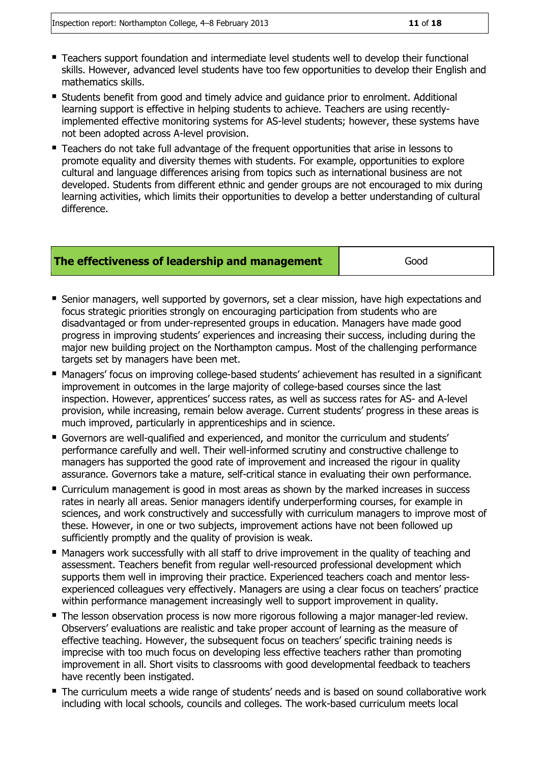- Teachers support foundation and intermediate level students well to develop their functional skills. However, advanced level students have too few opportunities to develop their English and mathematics skills.
- **Students benefit from good and timely advice and guidance prior to enrolment. Additional 4** learning support is effective in helping students to achieve. Teachers are using recentlyimplemented effective monitoring systems for AS-level students; however, these systems have not been adopted across A-level provision.
- Teachers do not take full advantage of the frequent opportunities that arise in lessons to promote equality and diversity themes with students. For example, opportunities to explore cultural and language differences arising from topics such as international business are not developed. Students from different ethnic and gender groups are not encouraged to mix during learning activities, which limits their opportunities to develop a better understanding of cultural difference.

#### **The effectiveness of leadership and management** and **Good**

- Senior managers, well supported by governors, set a clear mission, have high expectations and focus strategic priorities strongly on encouraging participation from students who are disadvantaged or from under-represented groups in education. Managers have made good progress in improving students' experiences and increasing their success, including during the major new building project on the Northampton campus. Most of the challenging performance targets set by managers have been met.
- Managers' focus on improving college-based students' achievement has resulted in a significant improvement in outcomes in the large majority of college-based courses since the last inspection. However, apprentices' success rates, as well as success rates for AS- and A-level provision, while increasing, remain below average. Current students' progress in these areas is much improved, particularly in apprenticeships and in science.
- Governors are well-qualified and experienced, and monitor the curriculum and students' performance carefully and well. Their well-informed scrutiny and constructive challenge to managers has supported the good rate of improvement and increased the rigour in quality assurance. Governors take a mature, self-critical stance in evaluating their own performance.
- Curriculum management is good in most areas as shown by the marked increases in success rates in nearly all areas. Senior managers identify underperforming courses, for example in sciences, and work constructively and successfully with curriculum managers to improve most of these. However, in one or two subjects, improvement actions have not been followed up sufficiently promptly and the quality of provision is weak.
- **E** Managers work successfully with all staff to drive improvement in the quality of teaching and assessment. Teachers benefit from regular well-resourced professional development which supports them well in improving their practice. Experienced teachers coach and mentor lessexperienced colleagues very effectively. Managers are using a clear focus on teachers' practice within performance management increasingly well to support improvement in quality.
- The lesson observation process is now more rigorous following a major manager-led review. Observers' evaluations are realistic and take proper account of learning as the measure of effective teaching. However, the subsequent focus on teachers' specific training needs is imprecise with too much focus on developing less effective teachers rather than promoting improvement in all. Short visits to classrooms with good developmental feedback to teachers have recently been instigated.
- The curriculum meets a wide range of students' needs and is based on sound collaborative work including with local schools, councils and colleges. The work-based curriculum meets local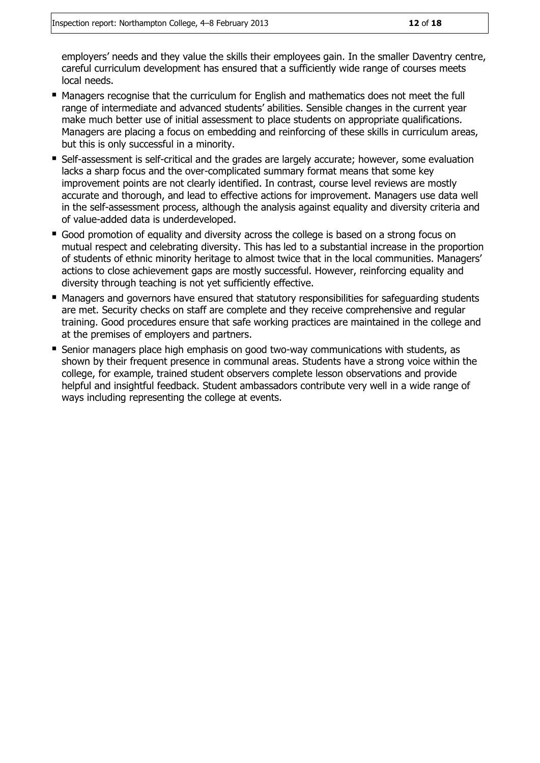employers' needs and they value the skills their employees gain. In the smaller Daventry centre, careful curriculum development has ensured that a sufficiently wide range of courses meets local needs.

- Managers recognise that the curriculum for English and mathematics does not meet the full range of intermediate and advanced students' abilities. Sensible changes in the current year make much better use of initial assessment to place students on appropriate qualifications. Managers are placing a focus on embedding and reinforcing of these skills in curriculum areas, but this is only successful in a minority.
- Self-assessment is self-critical and the grades are largely accurate; however, some evaluation lacks a sharp focus and the over-complicated summary format means that some key improvement points are not clearly identified. In contrast, course level reviews are mostly accurate and thorough, and lead to effective actions for improvement. Managers use data well in the self-assessment process, although the analysis against equality and diversity criteria and of value-added data is underdeveloped.
- Good promotion of equality and diversity across the college is based on a strong focus on mutual respect and celebrating diversity. This has led to a substantial increase in the proportion of students of ethnic minority heritage to almost twice that in the local communities. Managers' actions to close achievement gaps are mostly successful. However, reinforcing equality and diversity through teaching is not yet sufficiently effective.
- Managers and governors have ensured that statutory responsibilities for safeguarding students are met. Security checks on staff are complete and they receive comprehensive and regular training. Good procedures ensure that safe working practices are maintained in the college and at the premises of employers and partners.
- **Senior managers place high emphasis on good two-way communications with students, as** shown by their frequent presence in communal areas. Students have a strong voice within the college, for example, trained student observers complete lesson observations and provide helpful and insightful feedback. Student ambassadors contribute very well in a wide range of ways including representing the college at events.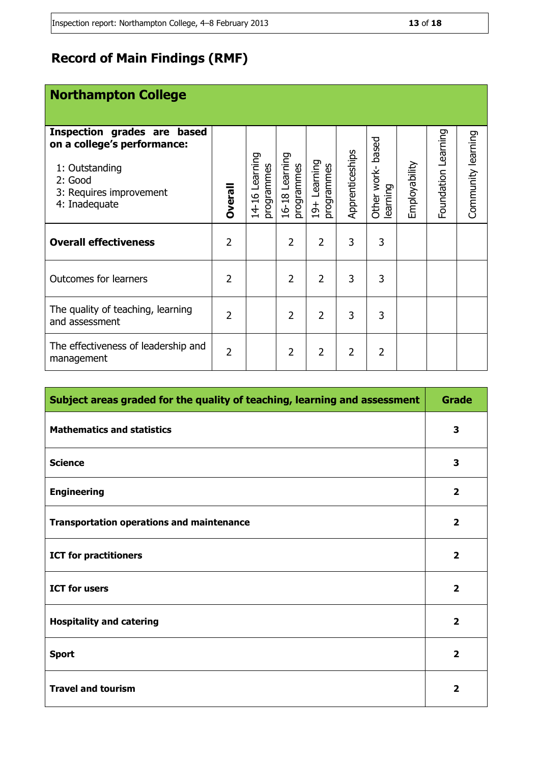### **Record of Main Findings (RMF)**

| Inspection grades are based<br>on a college's performance:<br>1: Outstanding<br>2: Good<br>3: Requires improvement<br>4: Inadequate | <b>Dverall</b> | Learning<br>programmes<br>14-16 | 16-18 Learning<br>programmes | $19+$ Learning<br>programmes | Apprenticeships | based<br>Other work-<br>learning | Employability | Learning<br>Foundation | Community learning |
|-------------------------------------------------------------------------------------------------------------------------------------|----------------|---------------------------------|------------------------------|------------------------------|-----------------|----------------------------------|---------------|------------------------|--------------------|
| <b>Overall effectiveness</b>                                                                                                        | 2              |                                 | $\overline{2}$               | $\overline{2}$               | 3               | 3                                |               |                        |                    |
| <b>Outcomes for learners</b>                                                                                                        | 2              |                                 | 2                            | $\overline{2}$               | 3               | 3                                |               |                        |                    |
| The quality of teaching, learning<br>and assessment                                                                                 | 2              |                                 | $\overline{2}$               | $\overline{2}$               | 3               | 3                                |               |                        |                    |
| The effectiveness of leadership and<br>management                                                                                   | $\overline{2}$ |                                 | $\overline{2}$               | $\overline{2}$               | 2               | 2                                |               |                        |                    |

| Subject areas graded for the quality of teaching, learning and assessment | <b>Grade</b>            |
|---------------------------------------------------------------------------|-------------------------|
| <b>Mathematics and statistics</b>                                         | 3                       |
| <b>Science</b>                                                            | 3                       |
| <b>Engineering</b>                                                        | $\overline{\mathbf{2}}$ |
| <b>Transportation operations and maintenance</b>                          | $\overline{2}$          |
| <b>ICT for practitioners</b>                                              | $\overline{2}$          |
| <b>ICT for users</b>                                                      | $\overline{2}$          |
| <b>Hospitality and catering</b>                                           | $\overline{2}$          |
| <b>Sport</b>                                                              | $\overline{2}$          |
| <b>Travel and tourism</b>                                                 | $\overline{2}$          |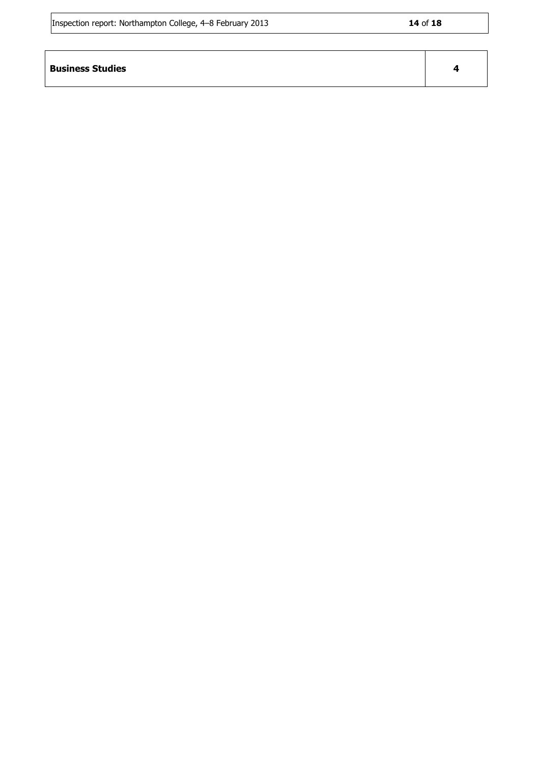| Inspection report: Northampton College, 4–8 February 2013 |  | 14 of 18 |
|-----------------------------------------------------------|--|----------|
|-----------------------------------------------------------|--|----------|

r

| <b>Business Studies</b> |  |
|-------------------------|--|
|                         |  |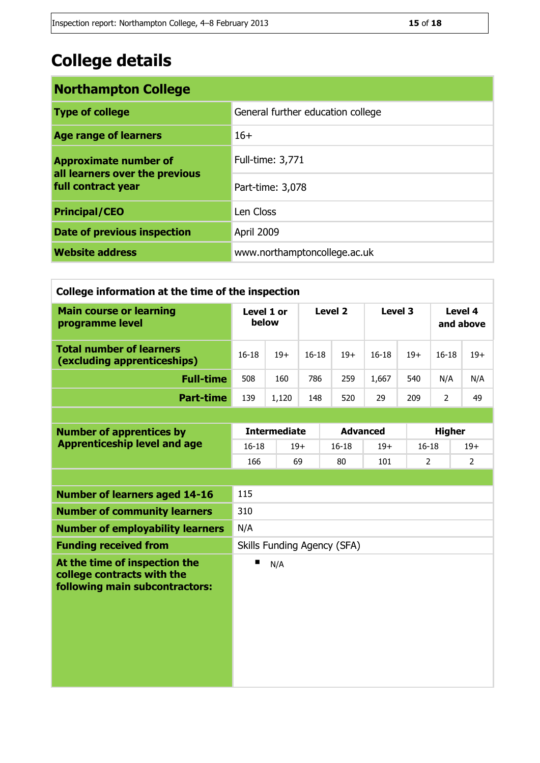## **College details**

| <b>Northampton College</b>                                                           |                                   |  |  |  |  |
|--------------------------------------------------------------------------------------|-----------------------------------|--|--|--|--|
| <b>Type of college</b>                                                               | General further education college |  |  |  |  |
| <b>Age range of learners</b>                                                         | $16+$                             |  |  |  |  |
| <b>Approximate number of</b><br>all learners over the previous<br>full contract year | Full-time: 3,771                  |  |  |  |  |
|                                                                                      | Part-time: 3,078                  |  |  |  |  |
| <b>Principal/CEO</b>                                                                 | Len Closs                         |  |  |  |  |
| <b>Date of previous inspection</b>                                                   | April 2009                        |  |  |  |  |
| <b>Website address</b>                                                               | www.northamptoncollege.ac.uk      |  |  |  |  |

| College information at the time of the inspection                                             |                                         |                     |           |                 |           |                |                      |                |
|-----------------------------------------------------------------------------------------------|-----------------------------------------|---------------------|-----------|-----------------|-----------|----------------|----------------------|----------------|
| <b>Main course or learning</b><br>programme level                                             | Level 1 or<br>below                     |                     | Level 2   |                 | Level 3   |                | Level 4<br>and above |                |
| <b>Total number of learners</b><br>(excluding apprenticeships)                                | $16 - 18$<br>$19+$                      |                     | $16 - 18$ | $19+$           | $16 - 18$ | $19+$          | $16 - 18$            | $19+$          |
| <b>Full-time</b>                                                                              | 508                                     | 160                 | 786       | 259             | 1,667     | 540            | N/A                  | N/A            |
| <b>Part-time</b>                                                                              | 139                                     | 1,120               | 148       | 520             | 29        | 209            | $\overline{2}$       | 49             |
|                                                                                               |                                         |                     |           |                 |           |                |                      |                |
| <b>Number of apprentices by</b>                                                               |                                         | <b>Intermediate</b> |           | <b>Advanced</b> |           |                | <b>Higher</b>        |                |
| <b>Apprenticeship level and age</b>                                                           | $16 - 18$                               | $19+$               |           | $16 - 18$       | $19+$     | $16 - 18$      |                      | $19+$          |
|                                                                                               | 166                                     | 69                  |           | 80              | 101       | $\overline{2}$ |                      | $\overline{2}$ |
|                                                                                               |                                         |                     |           |                 |           |                |                      |                |
| <b>Number of learners aged 14-16</b>                                                          | 115                                     |                     |           |                 |           |                |                      |                |
| <b>Number of community learners</b>                                                           | 310                                     |                     |           |                 |           |                |                      |                |
| <b>Number of employability learners</b>                                                       | N/A                                     |                     |           |                 |           |                |                      |                |
| <b>Funding received from</b>                                                                  |                                         |                     |           |                 |           |                |                      |                |
| At the time of inspection the<br>college contracts with the<br>following main subcontractors: | Skills Funding Agency (SFA)<br>п<br>N/A |                     |           |                 |           |                |                      |                |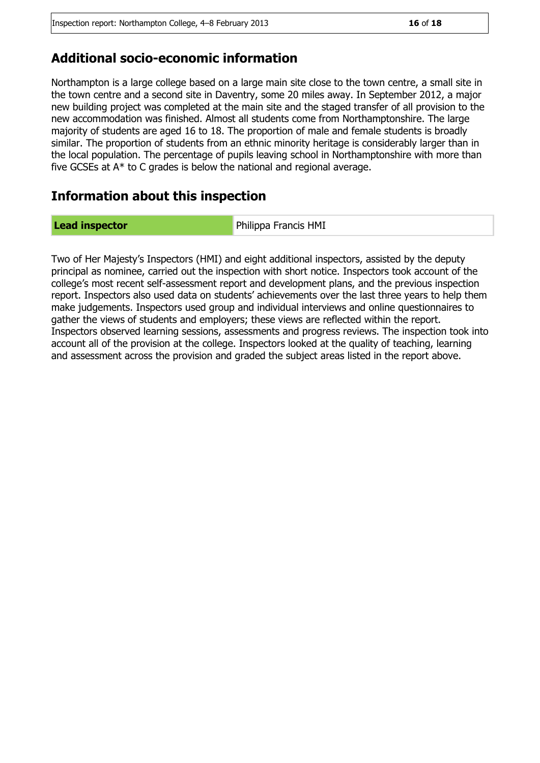#### **Additional socio-economic information**

Northampton is a large college based on a large main site close to the town centre, a small site in the town centre and a second site in Daventry, some 20 miles away. In September 2012, a major new building project was completed at the main site and the staged transfer of all provision to the new accommodation was finished. Almost all students come from Northamptonshire. The large majority of students are aged 16 to 18. The proportion of male and female students is broadly similar. The proportion of students from an ethnic minority heritage is considerably larger than in the local population. The percentage of pupils leaving school in Northamptonshire with more than five GCSEs at A\* to C grades is below the national and regional average.

#### **Information about this inspection**

**Lead inspector Example 20 Interval 20 Interval 20 Interval 20 Interval 20 Interval 20 Interval 20 Interval 20 Interval 20 Interval 20 Interval 20 Interval 20 Interval 20 Interval 20 Interval 20 Interval 20 Interval 20 I** 

Two of Her Majesty's Inspectors (HMI) and eight additional inspectors, assisted by the deputy principal as nominee, carried out the inspection with short notice. Inspectors took account of the college's most recent self-assessment report and development plans, and the previous inspection report. Inspectors also used data on students' achievements over the last three years to help them make judgements. Inspectors used group and individual interviews and online questionnaires to gather the views of students and employers; these views are reflected within the report. Inspectors observed learning sessions, assessments and progress reviews. The inspection took into account all of the provision at the college. Inspectors looked at the quality of teaching, learning and assessment across the provision and graded the subject areas listed in the report above.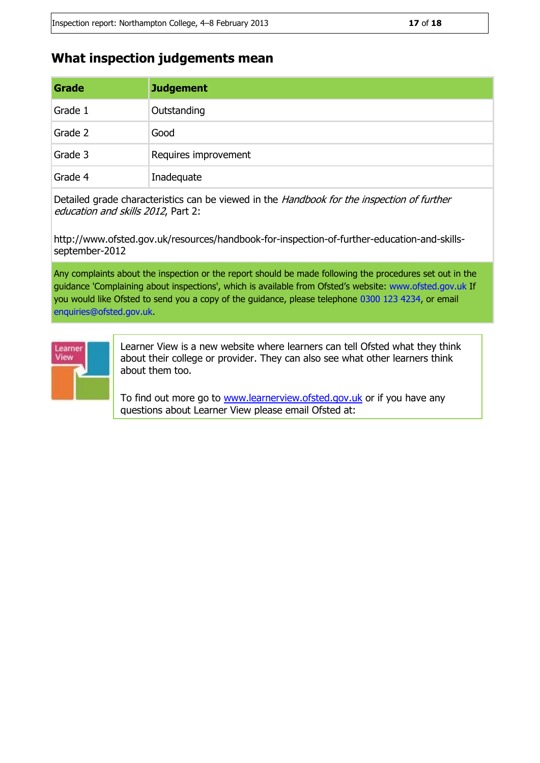#### **What inspection judgements mean**

[learnerview@ofsted.gov.uk](mailto:learnerview@ofsted.gov.uk)

| Grade   | <b>Judgement</b>     |
|---------|----------------------|
| Grade 1 | Outstanding          |
| Grade 2 | Good                 |
| Grade 3 | Requires improvement |
| Grade 4 | Inadequate           |

Detailed grade characteristics can be viewed in the Handbook for the inspection of further education and skills 2012, Part 2:

http://www.ofsted.gov.uk/resources/handbook-for-inspection-of-further-education-and-skillsseptember-2012

Any complaints about the inspection or the report should be made following the procedures set out in the guidance 'Complaining about inspections', which is available from Ofsted's website: www.ofsted.gov.uk If you would like Ofsted to send you a copy of the guidance, please telephone 0300 123 4234, or email enquiries@ofsted.gov.uk.



Learner View is a new website where learners can tell Ofsted what they think about their college or provider. They can also see what other learners think about them too.

To find out more go to [www.learnerview.ofsted.gov.uk](http://www.learnerview.ofsted.gov.uk/) or if you have any questions about Learner View please email Ofsted at: